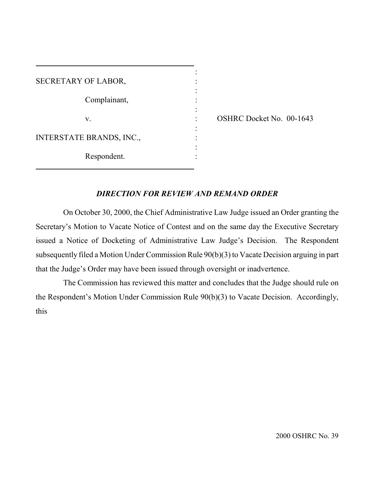| SECRETARY OF LABOR,             |  |
|---------------------------------|--|
| Complainant,                    |  |
| V.                              |  |
|                                 |  |
| <b>INTERSTATE BRANDS, INC.,</b> |  |
| Respondent.                     |  |

ı

: OSHRC Docket No. 00-1643

## *DIRECTION FOR REVIEW AND REMAND ORDER*

On October 30, 2000, the Chief Administrative Law Judge issued an Order granting the Secretary's Motion to Vacate Notice of Contest and on the same day the Executive Secretary issued a Notice of Docketing of Administrative Law Judge's Decision. The Respondent subsequently filed a Motion Under Commission Rule 90(b)(3) to Vacate Decision arguing in part that the Judge's Order may have been issued through oversight or inadvertence.

The Commission has reviewed this matter and concludes that the Judge should rule on the Respondent's Motion Under Commission Rule 90(b)(3) to Vacate Decision. Accordingly, this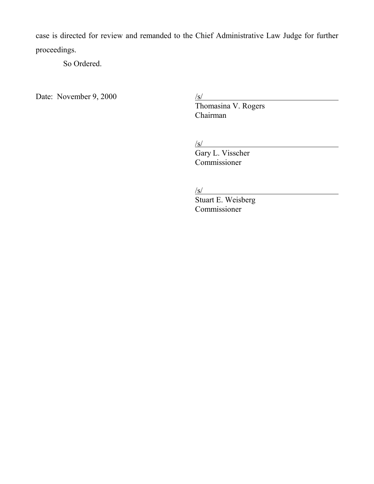case is directed for review and remanded to the Chief Administrative Law Judge for further proceedings.

So Ordered.

Date: November 9, 2000

Thomasina V. Rogers Chairman

/s/

Gary L. Visscher Commissioner

 $\sqrt{s}$ /

Stuart E. Weisberg Commissioner